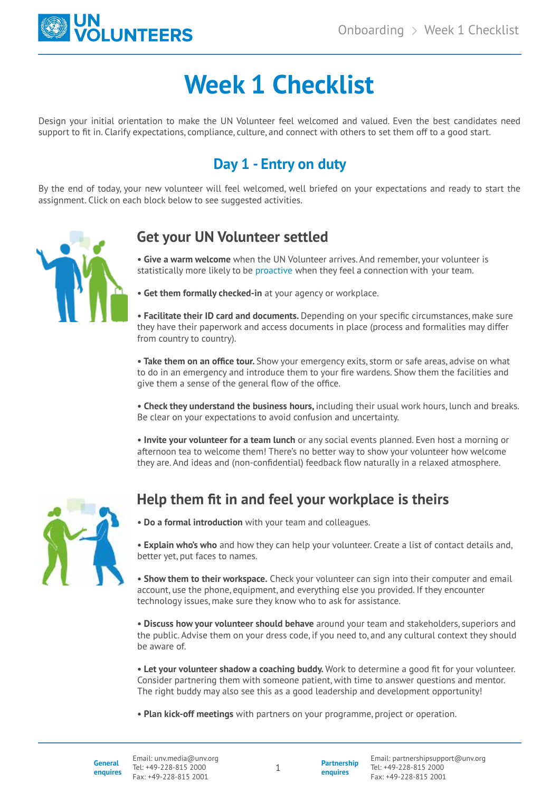

# **Week 1 Checklist**

Design your initial orientation to make the UN Volunteer feel welcomed and valued. Even the best candidates need support to fit in. Clarify expectations, compliance, culture, and connect with others to set them off to a good start.

## **Day 1 - Entry on duty**

By the end of today, your new volunteer will feel welcomed, well briefed on your expectations and ready to start the assignment. Click on each block below to see suggested activities.



## **Get your UN Volunteer settled**

**• Give a warm welcome** when the UN Volunteer arrives. And remember, your volunteer is statistically more likely to be proactive when they feel a connection with your team.

**• Get them formally checked-in** at your agency or workplace.

**• Facilitate their ID card and documents.** Depending on your specific circumstances, make sure they have their paperwork and access documents in place (process and formalities may differ from country to country).

**• Take them on an office tour.** Show your emergency exits, storm or safe areas, advise on what to do in an emergency and introduce them to your fire wardens. Show them the facilities and give them a sense of the general flow of the office.

**• Check they understand the business hours,** including their usual work hours, lunch and breaks. Be clear on your expectations to avoid confusion and uncertainty.

**• Invite your volunteer for a team lunch** or any social events planned. Even host a morning or afternoon tea to welcome them! There's no better way to show your volunteer how welcome they are. And ideas and (non-confidential) feedback flow naturally in a relaxed atmosphere.



## **Help them fit in and feel your workplace is theirs**

**• Do a formal introduction** with your team and colleagues.

**• Explain who's who** and how they can help your volunteer. Create a list of contact details and, better yet, put faces to names.

**• Show them to their workspace.** Check your volunteer can sign into their computer and email account, use the phone, equipment, and everything else you provided. If they encounter technology issues, make sure they know who to ask for assistance.

**• Discuss how your volunteer should behave** around your team and stakeholders, superiors and the public. Advise them on your dress code, if you need to, and any cultural context they should be aware of.

**• Let your volunteer shadow a coaching buddy.** Work to determine a good fit for your volunteer. Consider partnering them with someone patient, with time to answer questions and mentor. The right buddy may also see this as a good leadership and development opportunity!

**• Plan kick-off meetings** with partners on your programme, project or operation.

1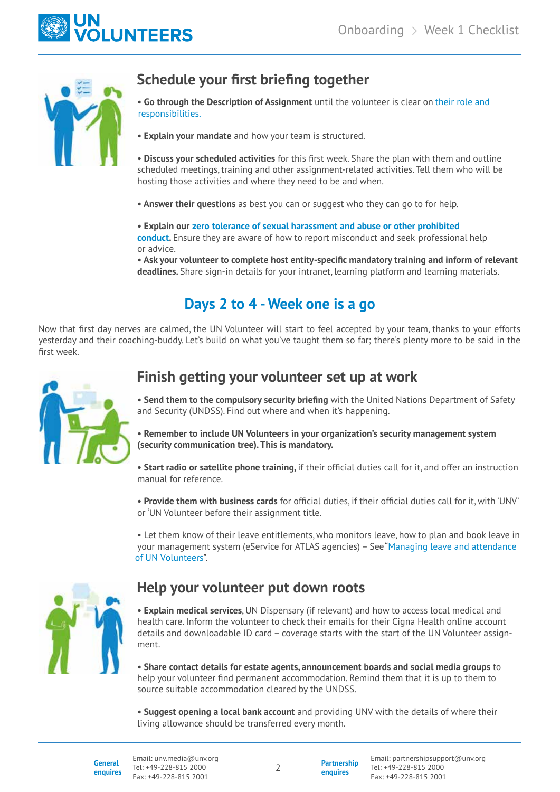



## **Schedule your first briefing together**

• Go through the Description of Assignment until the volunteer is clear on [their role and](https://hbr.org/2011/11/for-your-teams-success-remembe.html) responsibilities. responsibilities.

**• Explain your mandate** and how your team is structured.

**• Discuss your scheduled activities** for this first week. Share the plan with them and outline scheduled meetings, training and other assignment-related activities. Tell them who will be hosting those activities and where they need to be and when.

**• Answer their questions** as best you can or suggest who they can go to for help.

• Explain our zero tolerance of sexual harassment and abuse or other prohibited **conduct.** Ensure they are aware of how to report misconduct and seek professional help or advice.

**• Ask your volunteer to complete host entity-specific mandatory training and inform of relevant deadlines.** Share sign-in details for your intranet, learning platform and learning materials.

## **Days 2 to 4 - Week one is a go**

Now that first day nerves are calmed, the UN Volunteer will start to feel accepted by your team, thanks to your efforts yesterday and their coaching-buddy. Let's build on what you've taught them so far; there's plenty more to be said in the first week.



### **Finish getting your volunteer set up at work**

**• Send them to the compulsory security briefing** with the United Nations Department of Safety and Security (UNDSS). Find out where and when it's happening.

**• Remember to include UN Volunteers in your organization's security management system (security communication tree). This is mandatory.** 

**• Start radio or satellite phone training,** if their official duties call for it, and offer an instruction manual for reference.

**• Provide them with business cards** for official duties, if their official duties call for it, with 'UNV' or 'UN Volunteer before their assignment title.

• Let them know of their leave entitlements, who monitors leave, how to plan and book leave in your management system (eService for ATLAS agencies) – See"[Managing leave and attendance](https://toolkit.unv.org/managing/address-workplace-concerns) [of UN Volunteers](https://toolkit.unv.org/managing/address-workplace-concerns)".



#### **Help your volunteer put down roots**

**• Explain medical services**, UN Dispensary (if relevant) and how to access local medical and health care. Inform the volunteer to check their emails for their Cigna Health online account details and downloadable ID card – coverage starts with the start of the UN Volunteer assignment.

**• Share contact details for estate agents, announcement boards and social media groups** to help your volunteer find permanent accommodation. Remind them that it is up to them to source suitable accommodation cleared by the UNDSS.

**• Suggest opening a local bank account** and providing UNV with the details of where their living allowance should be transferred every month.

2